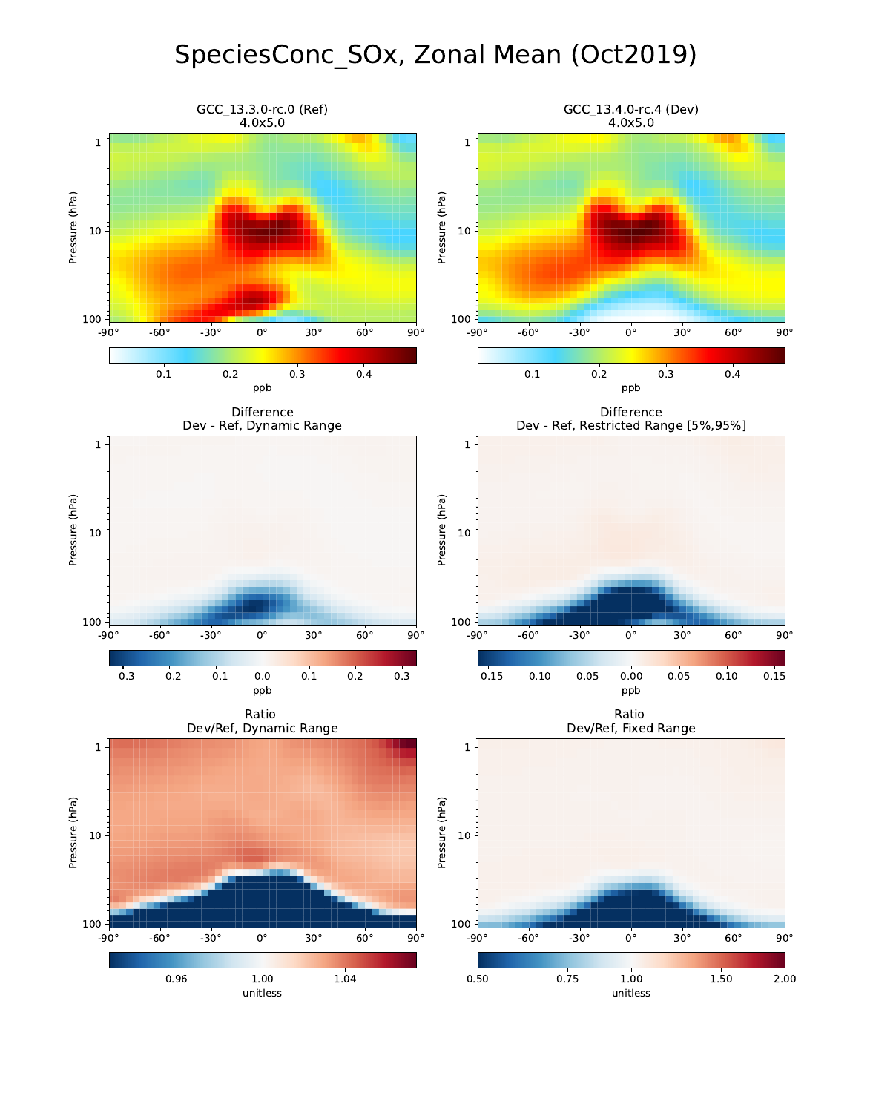# SpeciesConc\_SOx, Zonal Mean (Oct2019)

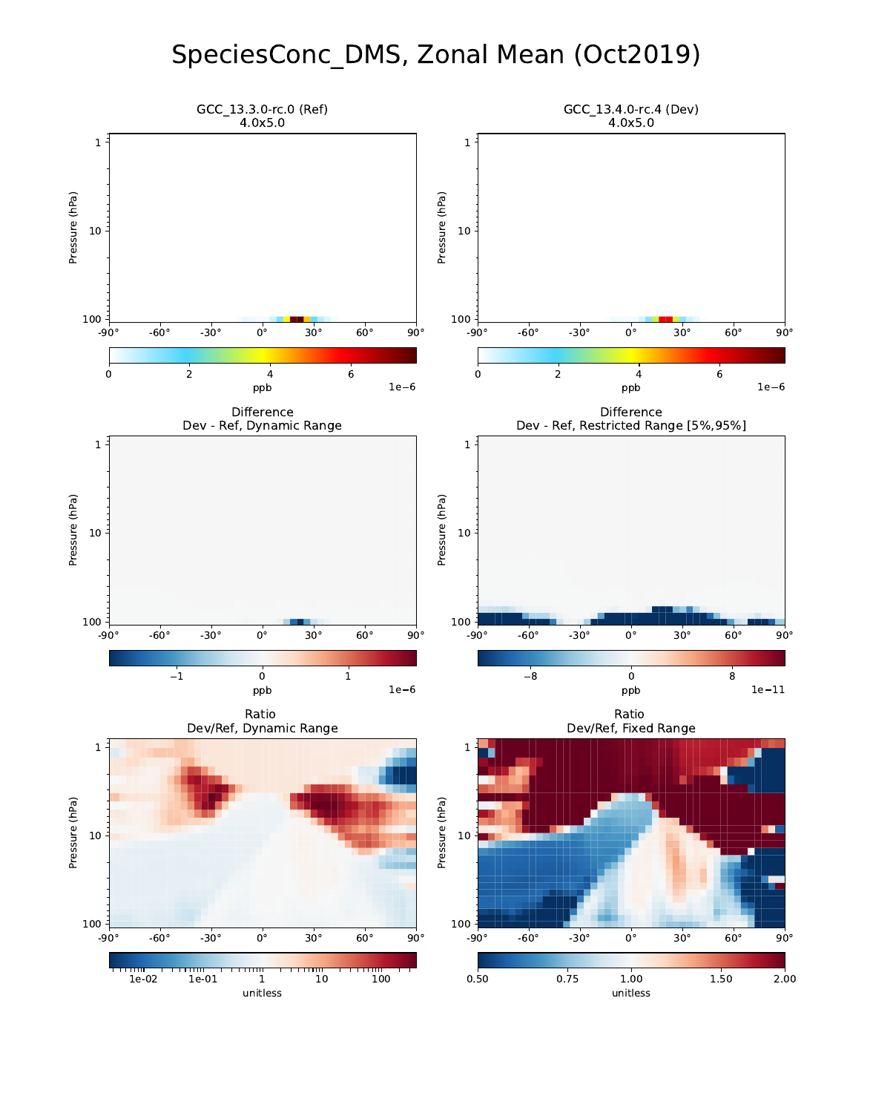#### SpeciesConc\_DMS, Zonal Mean (Oct2019)

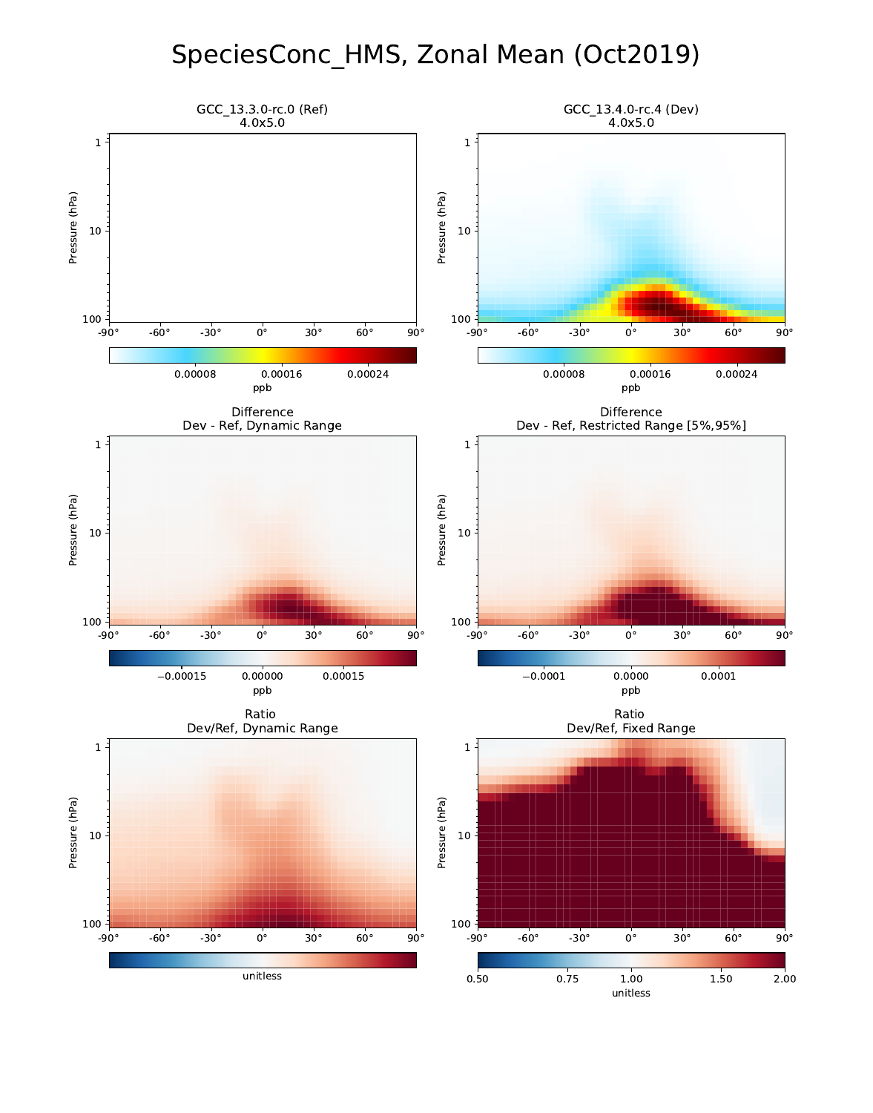#### SpeciesConc\_HMS, Zonal Mean (Oct2019)

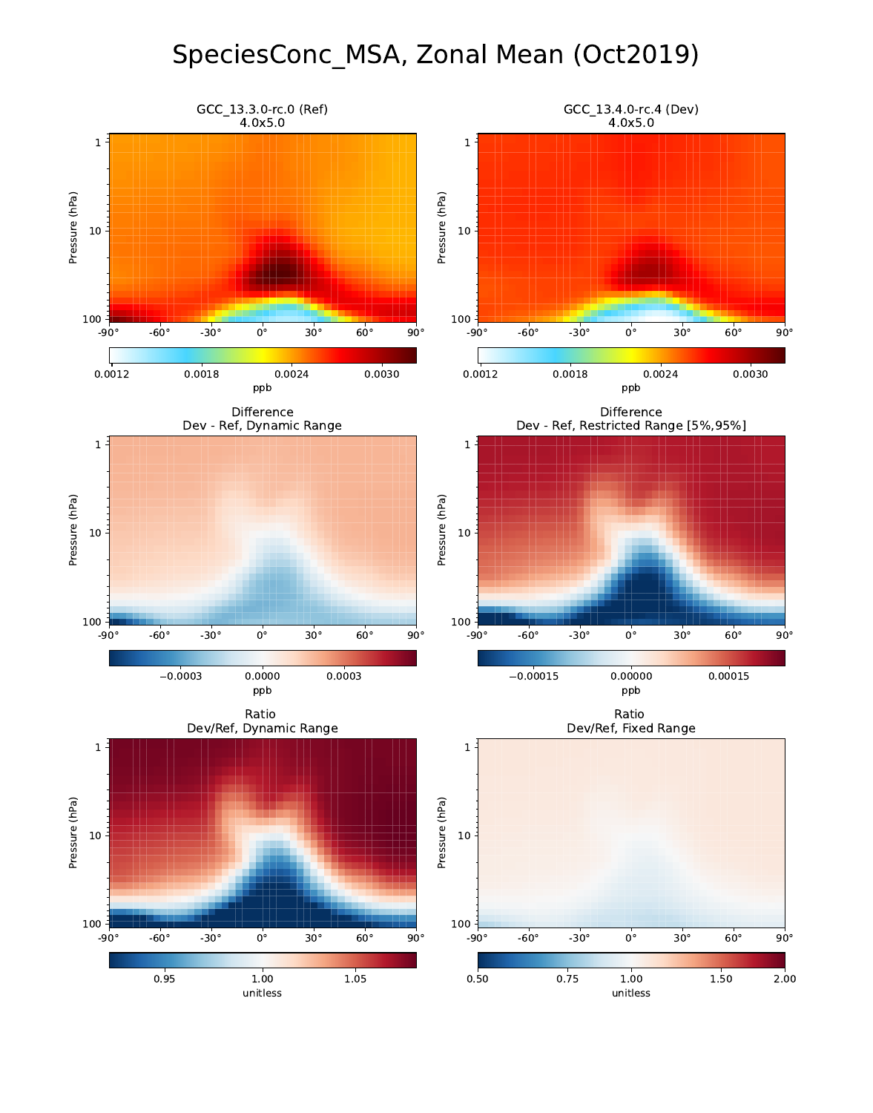#### SpeciesConc\_MSA, Zonal Mean (Oct2019)

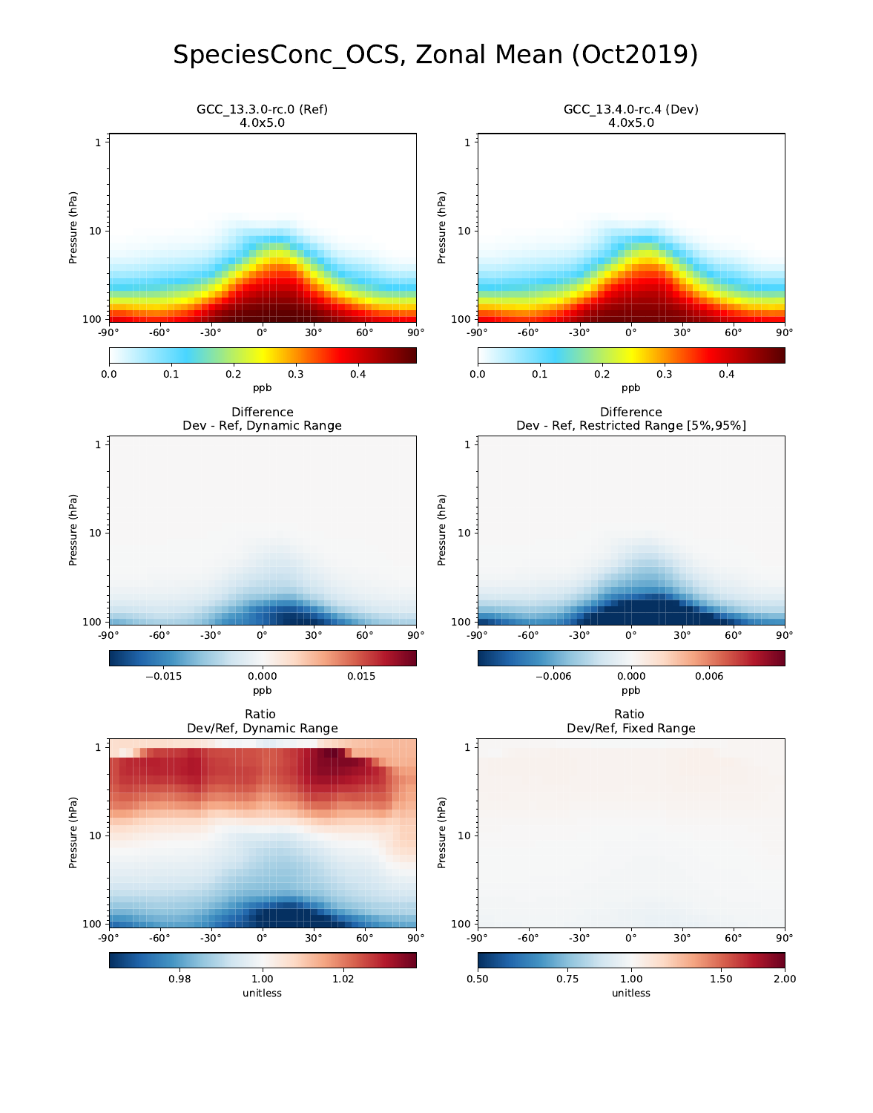# SpeciesConc\_OCS, Zonal Mean (Oct2019)

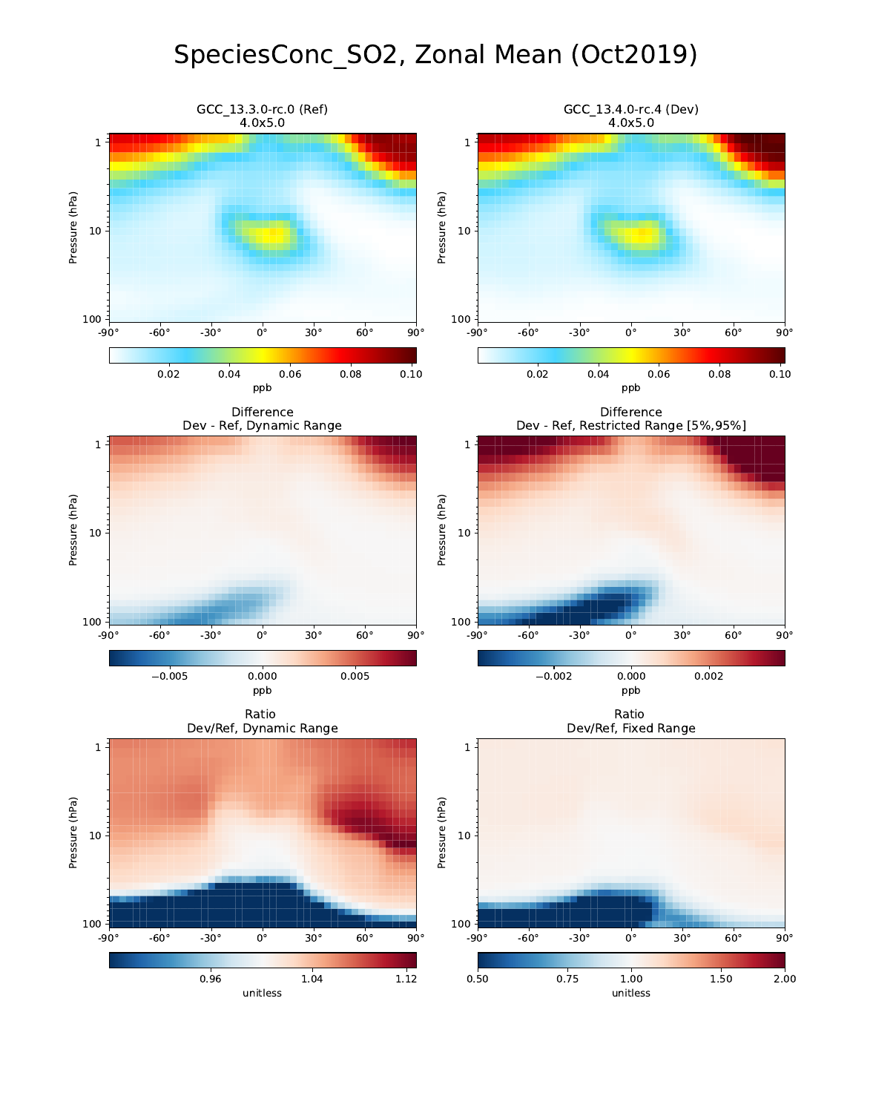## SpeciesConc\_SO2, Zonal Mean (Oct2019)